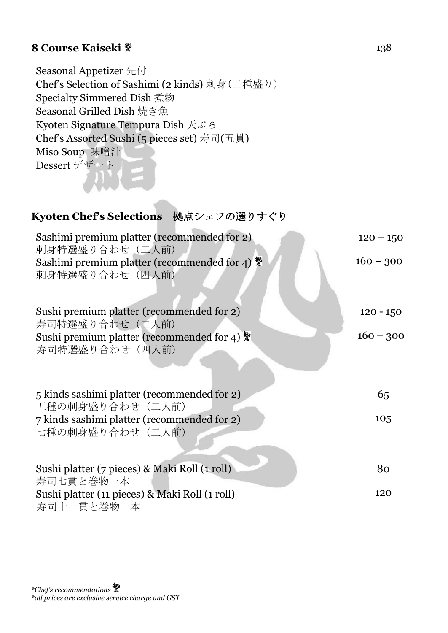### **8 Course Kaiseki**  $*$  138

Seasonal Appetizer 先付 Chef's Selection of Sashimi (2 kinds) 刺身(二種盛り) Specialty Simmered Dish 煮物 Seasonal Grilled Dish 焼き魚 Kyoten Signature Tempura Dish 天ぷら Chef's Assorted Sushi (5 pieces set) 寿司(五貫) Miso Soup 味噌汁 Dessert デザート

#### **Kyoten Chef's Selections** 拠点シェフの選りすぐり

| Sashimi premium platter (recommended for 2)<br>刺身特選盛り合わせ(二人前)                           | $120 - 150$ |
|-----------------------------------------------------------------------------------------|-------------|
| Sashimi premium platter (recommended for 4) $\frac{m}{2}$<br>刺身特選盛り合わせ(四人前)             | $160 - 300$ |
| Sushi premium platter (recommended for 2)<br>寿司特選盛り合わせ(二人前)                             | $120 - 150$ |
| Sushi premium platter (recommended for 4) $\ddot{\ddot{\mathbf{x}}}$<br>寿司特選盛り合わせ (四人前) | $160 - 300$ |
| 5 kinds sashimi platter (recommended for 2)<br>五種の刺身盛り合わせ (二人前)                         | 65          |
| 7 kinds sashimi platter (recommended for 2)<br>七種の刺身盛り合わせ(二人前)                          | 105         |
| Sushi platter (7 pieces) & Maki Roll (1 roll)<br>寿司七貫と巻物一本                              | 80          |
| Sushi platter (11 pieces) & Maki Roll (1 roll)<br>寿司十一貫と巻物一本                            | 120         |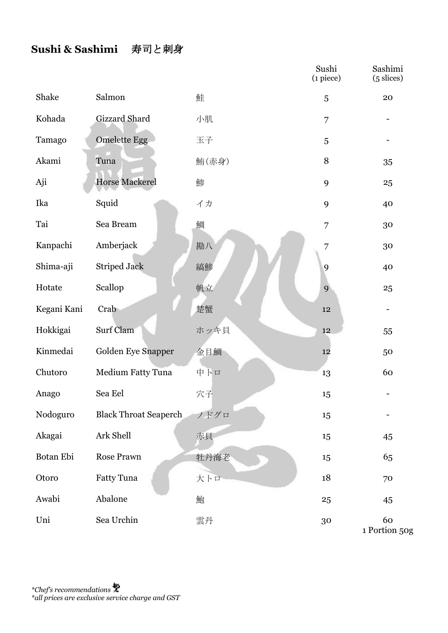### **Sushi & Sashimi** 寿司と刺身

|             |                              |       | Sushi<br>$(i$ piece $)$ | Sashimi<br>$(5 \text{ slices})$ |
|-------------|------------------------------|-------|-------------------------|---------------------------------|
| Shake       | Salmon                       | 鮭     | 5                       | 20                              |
| Kohada      | Gizzard Shard                | 小肌    | 7                       |                                 |
| Tamago      | <b>Omelette Egg</b>          | 玉子    | 5                       |                                 |
| Akami       | Tuna                         | 鮪(赤身) | 8                       | 35                              |
| Aji         | <b>Horse Mackerel</b>        | 鯵     | 9                       | 25                              |
| Ika         | Squid                        | イカ    | 9                       | 40                              |
| Tai         | Sea Bream                    | 鯛     | 7                       | 30                              |
| Kanpachi    | Amberjack                    | 勘八    | 7                       | 30                              |
| Shima-aji   | <b>Striped Jack</b>          | 縞鯵    | 9                       | 40                              |
| Hotate      | Scallop                      | 帆立    | 9                       | 25                              |
| Kegani Kani | Crab                         | 楚蟹    | $12\,$                  |                                 |
| Hokkigai    | Surf Clam                    | ホッキ貝  | 12                      | 55                              |
| Kinmedai    | Golden Eye Snapper           | 金目鯛   | 12                      | 50                              |
| Chutoro     | Medium Fatty Tuna            | 中トロ   | 13                      | 60                              |
| Anago       | Sea Eel                      | 穴子    | 15                      |                                 |
| Nodoguro    | <b>Black Throat Seaperch</b> | ノドグロ  | 15                      |                                 |
| Akagai      | Ark Shell                    | 赤貝    | 15                      | 45                              |
| Botan Ebi   | Rose Prawn                   | 牡丹海老  | 15                      | 65                              |
| Otoro       | Fatty Tuna                   | 大トロ   | $18\,$                  | 70                              |
| Awabi       | Abalone                      | 鮑     | 25                      | 45                              |
| Uni         | Sea Urchin                   | 雲丹    | 30                      | 60<br>D <sub>orto</sub>         |

1 Portion 50g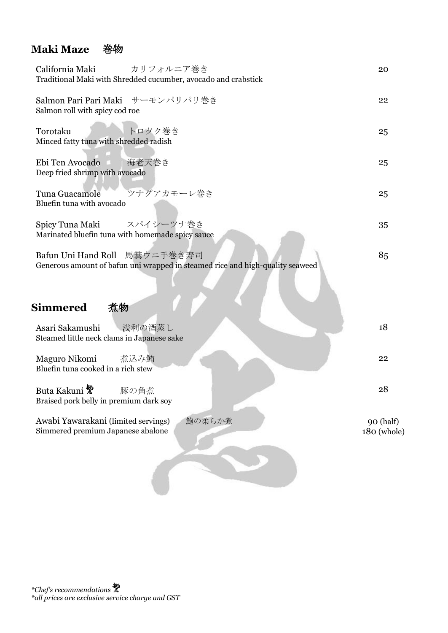### **Maki Maze** 巻物

| California Maki<br>カリフォルニア巻き<br>Traditional Maki with Shredded cucumber, avocado and crabstick                    | 20                       |
|-------------------------------------------------------------------------------------------------------------------|--------------------------|
| Salmon Pari Pari Maki サーモンパリパリ巻き<br>Salmon roll with spicy cod roe                                                | 22                       |
| トロタク巻き<br>Torotaku<br>Minced fatty tuna with shredded radish                                                      | 25                       |
| Ebi Ten Avocado<br>海老天巻き<br>Deep fried shrimp with avocado                                                        | 25                       |
| ツナグアカモーレ巻き<br>Tuna Guacamole<br>Bluefin tuna with avocado                                                         | 25                       |
| スパイシーツナ巻き<br>Spicy Tuna Maki<br>Marinated bluefin tuna with homemade spicy sauce                                  | 35                       |
| 馬糞ウニ手巻き寿司<br>Bafun Uni Hand Roll<br>Generous amount of bafun uni wrapped in steamed rice and high-quality seaweed | 85                       |
| <b>Simmered</b><br>煮物                                                                                             |                          |
| 浅利の酒蒸し<br>Asari Sakamushi<br>Steamed little neck clams in Japanese sake                                           | 18                       |
| Maguro Nikomi<br>煮込み鮪<br>Bluefin tuna cooked in a rich stew                                                       | 22                       |
| Buta Kakuni <sup>赞</sup><br>豚の角煮<br>Braised pork belly in premium dark soy                                        | 28                       |
| Awabi Yawarakani (limited servings)<br>鮑の柔らか煮<br>Simmered premium Japanese abalone                                | 90 (half)<br>180 (whole) |
|                                                                                                                   |                          |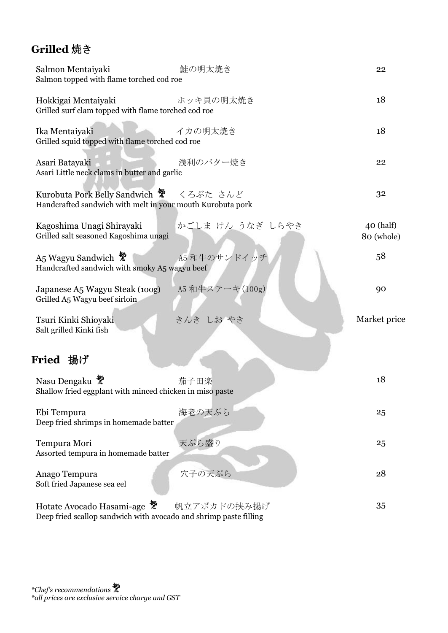### **Grilled** 焼き

| Salmon Mentaiyaki<br>Salmon topped with flame torched cod roe                                         | 鮭の明太焼き           | 22                        |
|-------------------------------------------------------------------------------------------------------|------------------|---------------------------|
| Hokkigai Mentaiyaki<br>Grilled surf clam topped with flame torched cod roe                            | ホッキ貝の明太焼き        | 18                        |
| Ika Mentaiyaki<br>Grilled squid topped with flame torched cod roe                                     | イカの明太焼き          | 18                        |
| Asari Batayaki<br>Asari Little neck clams in butter and garlic                                        | 浅利のバター焼き         | 22                        |
| Kurobuta Pork Belly Sandwich ※ くろぶた さんど<br>Handcrafted sandwich with melt in your mouth Kurobuta pork |                  | 32                        |
| Kagoshima Unagi Shirayaki<br>Grilled salt seasoned Kagoshima unagi                                    | かごしま けん うなぎ しらやき | $40$ (half)<br>80 (whole) |
| A5 Wagyu Sandwich<br>Handcrafted sandwich with smoky A5 wagyu beef                                    | A5 和牛のサンドイッチ     | 58                        |
| Japanese A5 Wagyu Steak (100g)<br>Grilled A5 Wagyu beef sirloin                                       | A5 和牛ステーキ(100g)  | 90                        |
| Tsuri Kinki Shioyaki<br>Salt grilled Kinki fish                                                       | きんき しお やき        | Market price              |
| Fried 揚げ                                                                                              |                  |                           |
| Nasu Dengaku<br>Shallow fried eggplant with minced chicken in miso paste                              | 茄子田楽             | 18                        |
| Ebi Tempura<br>Deep fried shrimps in homemade batter                                                  | 海老の天ぷら           | 25                        |
| Tempura Mori<br>Assorted tempura in homemade batter                                                   | 天ぷら盛り            | 25                        |
| Anago Tempura<br>Soft fried Japanese sea eel                                                          | 穴子の天ぷら           | 28                        |
| Hotate Avocado Hasami-age<br>Deep fried scallop sandwich with avocado and shrimp paste filling        | 帆立アボカドの挟み揚げ      | 35                        |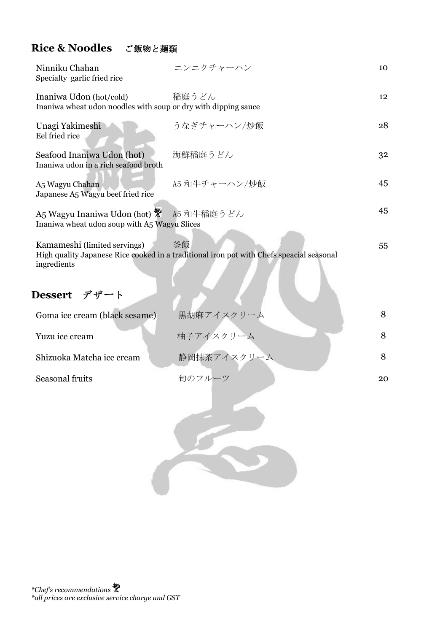### **Rice & Noodles** ご飯物と麺類

| Ninniku Chahan<br>Specialty garlic fried rice                                             | ニンニクチャーハン                                                                                      | 10 |
|-------------------------------------------------------------------------------------------|------------------------------------------------------------------------------------------------|----|
| Inaniwa Udon (hot/cold)<br>Inaniwa wheat udon noodles with soup or dry with dipping sauce | 稲庭うどん                                                                                          | 12 |
| Unagi Yakimeshi<br>Eel fried rice                                                         | うなぎチャーハン/炒飯                                                                                    | 28 |
| Seafood Inaniwa Udon (hot)<br>Inaniwa udon in a rich seafood broth                        | 海鮮稲庭うどん                                                                                        | 32 |
| A5 Wagyu Chahan<br>Japanese A5 Wagyu beef fried rice                                      | A5 和牛チャーハン/炒飯                                                                                  | 45 |
| A5 Wagyu Inaniwa Udon (hot)<br>Inaniwa wheat udon soup with A5 Wagyu Slices               | A5 和牛稲庭うどん                                                                                     | 45 |
| Kamameshi (limited servings)<br>ingredients                                               | 釜飯<br>High quality Japanese Rice cooked in a traditional iron pot with Chefs speacial seasonal | 55 |
| Dessert デザート                                                                              |                                                                                                |    |
| Goma ice cream (black sesame)                                                             | 黒胡麻アイスクリーム                                                                                     | 8  |
| Yuzu ice cream                                                                            | 柚子アイスクリーム                                                                                      | 8  |
| Shizuoka Matcha ice cream                                                                 | 静岡抹茶アイスクリーム                                                                                    | 8  |
| Seasonal fruits                                                                           | 旬のフルーツ                                                                                         | 20 |
|                                                                                           |                                                                                                |    |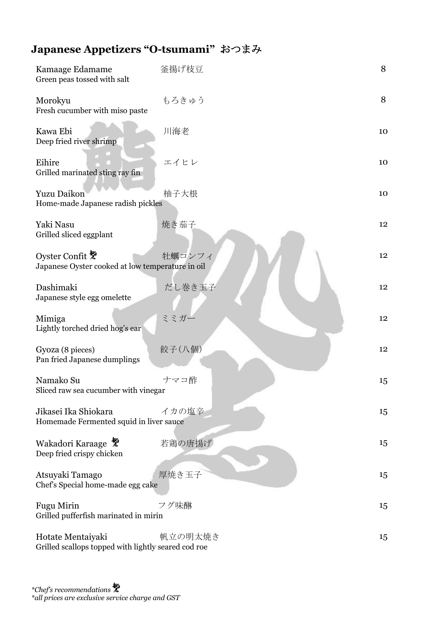# **Japanese Appetizers "O-tsumami"** おつまみ

| Kamaage Edamame<br>Green peas tossed with salt                           | 釜揚げ枝豆   | 8               |
|--------------------------------------------------------------------------|---------|-----------------|
| Morokyu<br>Fresh cucumber with miso paste                                | もろきゅう   | 8               |
| Kawa Ebi<br>Deep fried river shrimp                                      | 川海老     | 10              |
| Eihire<br>Grilled marinated sting ray fin                                | エイヒレ    | 10              |
| <b>Yuzu Daikon</b><br>Home-made Japanese radish pickles                  | 柚子大根    | 10              |
| Yaki Nasu<br>Grilled sliced eggplant                                     | 焼き茄子    | 12 <sup>°</sup> |
| Oyster Confit &<br>Japanese Oyster cooked at low temperature in oil      | 牡蠣コンフィ  | 12              |
| Dashimaki<br>Japanese style egg omelette                                 | だし巻き玉子  | 12              |
| Mimiga<br>Lightly torched dried hog's ear                                | ミミガー    | 12 <sup>°</sup> |
| Gyoza (8 pieces)<br>Pan fried Japanese dumplings                         | 餃子(八個)  | 12              |
| Namako Su<br>Sliced raw sea cucumber with vinegar                        | ナマコ酢    | 15              |
| Jikasei Ika Shiokara<br>Homemade Fermented squid in liver sauce          | イカの塩辛   | 15              |
| Wakadori Karaage<br>Deep fried crispy chicken                            | 若鶏の唐揚げ  | 15              |
| Atsuyaki Tamago<br>Chef's Special home-made egg cake                     | 厚焼き玉子   | 15              |
| <b>Fugu Mirin</b><br>Grilled pufferfish marinated in mirin               | フグ味醂    | 15              |
| Hotate Mentaiyaki<br>Grilled scallops topped with lightly seared cod roe | 帆立の明太焼き | 15              |